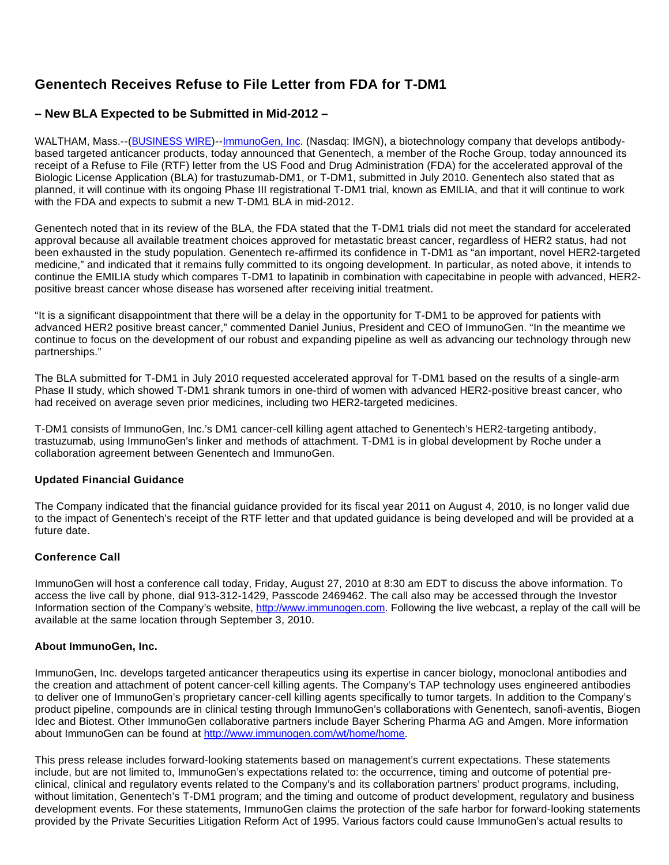# **Genentech Receives Refuse to File Letter from FDA for T-DM1**

## **– New BLA Expected to be Submitted in Mid-2012 –**

WALTHAM, Mass.--([BUSINESS WIRE\)](http://www.businesswire.com/)--[ImmunoGen, Inc.](http://cts.businesswire.com/ct/CT?id=smartlink&url=http://www.immunogen.com&esheet=6410002&lan=en-US&anchor=ImmunoGen%2C+Inc&index=1&md5=49fd67130adc42e8a8421ed0e8198106) (Nasdaq: IMGN), a biotechnology company that develops antibodybased targeted anticancer products, today announced that Genentech, a member of the Roche Group, today announced its receipt of a Refuse to File (RTF) letter from the US Food and Drug Administration (FDA) for the accelerated approval of the Biologic License Application (BLA) for trastuzumab-DM1, or T-DM1, submitted in July 2010. Genentech also stated that as planned, it will continue with its ongoing Phase III registrational T-DM1 trial, known as EMILIA, and that it will continue to work with the FDA and expects to submit a new T-DM1 BLA in mid-2012.

Genentech noted that in its review of the BLA, the FDA stated that the T-DM1 trials did not meet the standard for accelerated approval because all available treatment choices approved for metastatic breast cancer, regardless of HER2 status, had not been exhausted in the study population. Genentech re-affirmed its confidence in T-DM1 as "an important, novel HER2-targeted medicine," and indicated that it remains fully committed to its ongoing development. In particular, as noted above, it intends to continue the EMILIA study which compares T-DM1 to lapatinib in combination with capecitabine in people with advanced, HER2 positive breast cancer whose disease has worsened after receiving initial treatment.

"It is a significant disappointment that there will be a delay in the opportunity for T-DM1 to be approved for patients with advanced HER2 positive breast cancer," commented Daniel Junius, President and CEO of ImmunoGen. "In the meantime we continue to focus on the development of our robust and expanding pipeline as well as advancing our technology through new partnerships."

The BLA submitted for T-DM1 in July 2010 requested accelerated approval for T-DM1 based on the results of a single-arm Phase II study, which showed T-DM1 shrank tumors in one-third of women with advanced HER2-positive breast cancer, who had received on average seven prior medicines, including two HER2-targeted medicines.

T-DM1 consists of ImmunoGen, Inc.'s DM1 cancer-cell killing agent attached to Genentech's HER2-targeting antibody, trastuzumab, using ImmunoGen's linker and methods of attachment. T-DM1 is in global development by Roche under a collaboration agreement between Genentech and ImmunoGen.

### **Updated Financial Guidance**

The Company indicated that the financial guidance provided for its fiscal year 2011 on August 4, 2010, is no longer valid due to the impact of Genentech's receipt of the RTF letter and that updated guidance is being developed and will be provided at a future date.

## **Conference Call**

ImmunoGen will host a conference call today, Friday, August 27, 2010 at 8:30 am EDT to discuss the above information. To access the live call by phone, dial 913-312-1429, Passcode 2469462. The call also may be accessed through the Investor Information section of the Company's website, [http://www.immunogen.com](http://www.immunogen.com/). Following the live webcast, a replay of the call will be available at the same location through September 3, 2010.

### **About ImmunoGen, Inc.**

ImmunoGen, Inc. develops targeted anticancer therapeutics using its expertise in cancer biology, monoclonal antibodies and the creation and attachment of potent cancer-cell killing agents. The Company's TAP technology uses engineered antibodies to deliver one of ImmunoGen's proprietary cancer-cell killing agents specifically to tumor targets. In addition to the Company's product pipeline, compounds are in clinical testing through ImmunoGen's collaborations with Genentech, sanofi-aventis, Biogen Idec and Biotest. Other ImmunoGen collaborative partners include Bayer Schering Pharma AG and Amgen. More information about ImmunoGen can be found at [http://www.immunogen.com/wt/home/home.](http://www.immunogen.com/wt/home/home)

This press release includes forward-looking statements based on management's current expectations. These statements include, but are not limited to, ImmunoGen's expectations related to: the occurrence, timing and outcome of potential preclinical, clinical and regulatory events related to the Company's and its collaboration partners' product programs, including, without limitation, Genentech's T-DM1 program; and the timing and outcome of product development, regulatory and business development events. For these statements, ImmunoGen claims the protection of the safe harbor for forward-looking statements provided by the Private Securities Litigation Reform Act of 1995. Various factors could cause ImmunoGen's actual results to